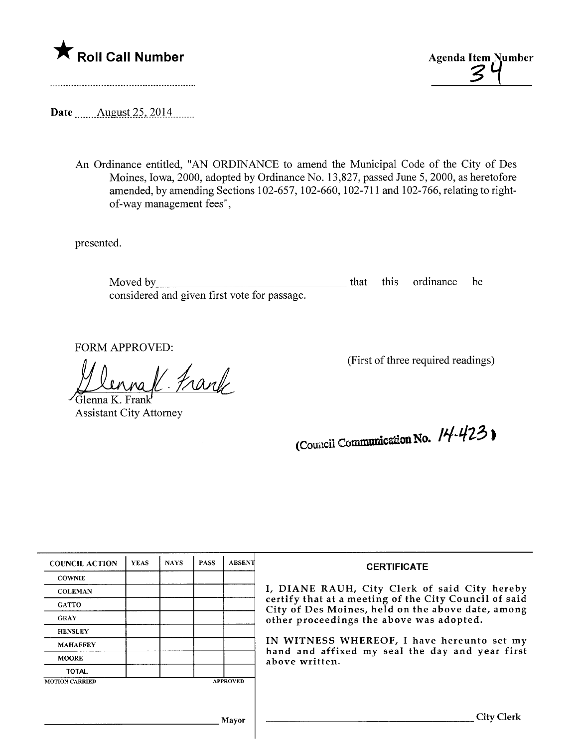



Date \_\_\_\_\_ August 25, 2014

An Ordinance entitled, "AN ORDINANCE to amend the Municipal Code of the City of Des Moines, Iowa, 2000, adopted by Ordinance No. 13,827, passed June 5, 2000, as heretofore amended, by amending Sections 102-657, 102-660, 102-711 and 102-766, relating to rightof-way management fees",

presented.

Moved by considered and given first vote for passage. that this ordinance be

FORM APPROVED:

(First of three required readings)<br>Glenna K. Frank<br>Assistant City Attorney

Assistant City Attorney

(Council Communication No.  $14-423$ )

| <b>COUNCIL ACTION</b> | <b>YEAS</b> | <b>NAYS</b> | <b>PASS</b> | <b>ABSENT</b>   | <b>CERTIFICATE</b>                                                                                                                                                                                                                                                                                                         |
|-----------------------|-------------|-------------|-------------|-----------------|----------------------------------------------------------------------------------------------------------------------------------------------------------------------------------------------------------------------------------------------------------------------------------------------------------------------------|
| <b>COWNIE</b>         |             |             |             |                 | I, DIANE RAUH, City Clerk of said City hereby<br>certify that at a meeting of the City Council of said<br>City of Des Moines, held on the above date, among<br>other proceedings the above was adopted.<br>IN WITNESS WHEREOF, I have hereunto set my<br>hand and affixed my seal the day and year first<br>above written. |
| <b>COLEMAN</b>        |             |             |             |                 |                                                                                                                                                                                                                                                                                                                            |
| <b>GATTO</b>          |             |             |             |                 |                                                                                                                                                                                                                                                                                                                            |
| <b>GRAY</b>           |             |             |             |                 |                                                                                                                                                                                                                                                                                                                            |
| <b>HENSLEY</b>        |             |             |             |                 |                                                                                                                                                                                                                                                                                                                            |
| <b>MAHAFFEY</b>       |             |             |             |                 |                                                                                                                                                                                                                                                                                                                            |
| <b>MOORE</b>          |             |             |             |                 |                                                                                                                                                                                                                                                                                                                            |
| <b>TOTAL</b>          |             |             |             |                 |                                                                                                                                                                                                                                                                                                                            |
| <b>MOTION CARRIED</b> |             |             |             | <b>APPROVED</b> |                                                                                                                                                                                                                                                                                                                            |
|                       |             |             |             |                 |                                                                                                                                                                                                                                                                                                                            |
|                       |             |             |             | Mayor           | City Clerk                                                                                                                                                                                                                                                                                                                 |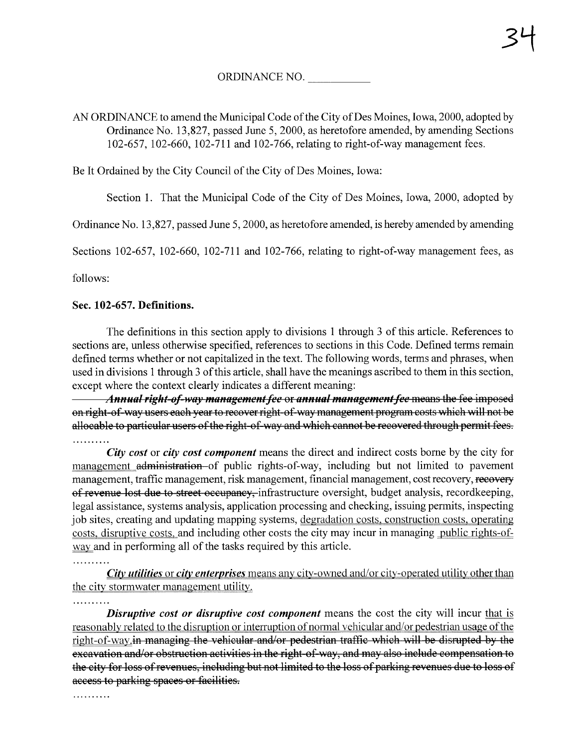# ORDINANCE NO.

### AN ORDINANCE to amend the Municipal Code of the City of Des Moines, Iowa, 2000, adopted by Ordinance No. 13,827, passed June 5, 2000, as heretofore amended, by amending Sections 102-657, 102-660, 102-711 and 102-766, relating to right-of-way management fees.

Be It Ordained by the City Council of the City of Des Moines, Iowa:

Section 1. That the Municipal Code of the City of Des Moines, Iowa, 2000, adopted by

Ordinance No. 13,827, passed June 5, 2000, as heretofore amended, is hereby amended by amending

Sections 102-657, 102-660, 102-711 and 102-766, relating to right-of-way management fees, as

follows:

#### Sec. 102-657. Definitions.

The definitions in this section apply to divisions 1 through 3 of this aricle. References to sections are, unless otherwise specified, references to sections in this Code. Defined terms remain defined terms whether or not capitalized in the text. The following words, terms and phrases, when used in divisions 1 through 3 of this article, shall have the meanings ascribed to them in this section, except where the context clearly indicates a different meaning:

Annual right-of-way management fee or annual management fee means the fee imposed on right-of-way users each year to recover right-of-way management program costs which will not be allocable to particular users of the right-of-way and which cannot be recovered through permit fees. . . . . . . . . . .

City cost or city cost component means the direct and indirect costs borne by the city for management administration-of public rights-of-way, including but not limited to pavement management, traffic management, risk management, financial management, cost recovery, recovery of revenue lost due to street occupancy, infrastructure oversight, budget analysis, recordkeeping, legal assistance, systems analysis, application processing and checking, issuing permits, inspecting job sites, creating and updating mapping systems, degradation costs, construction costs, operating costs, disruptive costs, and including other costs the city may incur in managing public rights-ofway and in performing all of the tasks required by this article.

City utilities or city enterprises means any city-owned and/or city-operated utility other than the city stormwater management utility.

. . . . . . . . . .

. . . . . . . . . .

**Disruptive cost or disruptive cost component** means the cost the city will incur that is reasonably related to the disruption or interruption of normal vehicular and/or pedestrian usage of the right-of-way.in managing the vehicular and/or pedestrian traffic which will be disrupted by the excavation and/or obstruction activities in the right-of-way, and may also include compensation to the city for loss of revenues, including but not limited to the loss of parking revenues due to loss of access to parking spaces or facilities.

. . . . . . . . . .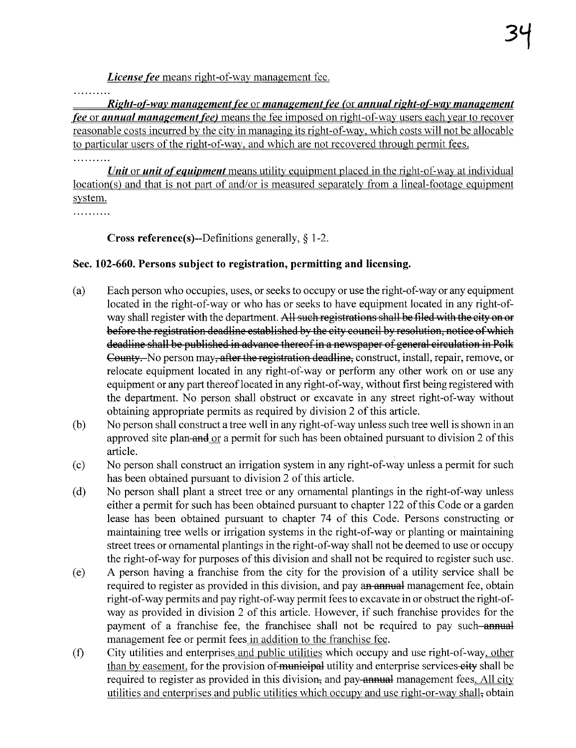License fee means right-of-way management fee.

. . . . . . . . . .

 $Right-of-way management fee$  or management fee or management fee (or annual right-of-way management fee or annual management fee) means the fee imposed on right-of-way users each year to recover reasonable costs incurred bv the citv in managing its right-of-way. which costs will not be allocable to particular users of the right-of-way, and which are not recovered through permit fees.

Unit or unit of equipment means utility equipment placed in the right-of-way at individual location(s) and that is not part of and/or is measured separately from a lineal-footage equipment svstem.

. . . . . . . . . .

. . . . . . . . . .

**Cross reference(s)--Definitions generally,**  $\S$  **1-2.** 

# Sec. 102-660. Persons subject to registration, permitting and licensing.

- (a) Each person who occupies, uses, or seeks to occupy or use the right-of-way or any equipment located in the right-of-way or who has or seeks to have equipment located in any right-ofway shall register with the department. All such registrations shall be filed with the city on or before the registration deadline established by the city council by resolution, notice of which deadline shall be published in advance thereof in a newspaper of general circulation in Polk County. No person may, after the registration deadline, construct, install, repair, remove, or relocate equipment located in any right-of-way or perform any other work on or use any equipment or any part thereof located in any right-of-way, without first being registered with the deparment. No person shall obstruct or excavate in any street right-of-way without obtaining appropriate permits as required by division 2 of this aricle.
- (b) No person shall construct a tree well in any right-of-way unless such tree well is shown in an approved site plan-and  $\alpha$  a permit for such has been obtained pursuant to division 2 of this article.
- (c) No person shall construct an irrigation system in any right-of-way unless a permit for such has been obtained pursuant to division 2 of this article.
- (d) No person shall plant a street tree or any ornamental plantings in the right-of-way unless either a permit for such has been obtained pursuant to chapter 122 of this Code or a garden lease has been obtained pursuant to chapter 74 of this Code. Persons constructing or maintaining tree wells or irrigation systems in the right-of-way or planting or maintaining street trees or ornamental plantings in the right-of-way shall not be deemed to use or occupy the right-of-way for purposes of this division and shall not be required to register such use.
- (e) A person having a franchise from the city for the provision of a utility service shall be required to register as provided in this division, and pay an annual management fee, obtain right-of-way permits and pay right-of-way permit fees to excavate in or obstruct the right-ofway as provided in division 2 of this article. However, if such franchise provides for the payment of a franchise fee, the franchisee shall not be required to pay such annual management fee or permit fees in addition to the franchise fee.
- (f) City utilities and enterprises and public utilities which occupy and use right-of-way. other than by easement, for the provision of municipal utility and enterprise services-city shall be required to register as provided in this division, and pay annual management fees. All city utilities and enterprises and public utilities which occupy and use right-or-way shall, obtain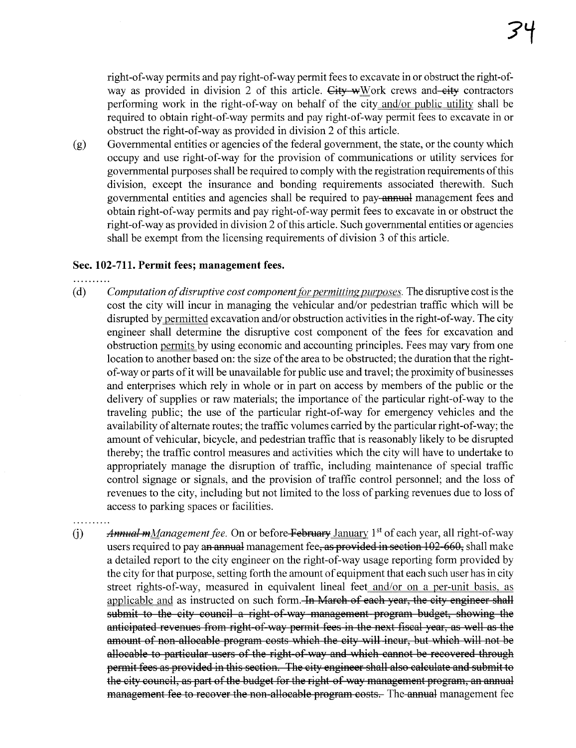right-of-way permits and pay right-of-way permit fees to excavate in or obstruct the right-ofway as provided in division 2 of this article. City wWork crews and-city contractors performing work in the right-of-way on behalf of the city and/or public utility shall be required to obtain right-of-way permits and pay right-of-way permit fees to excavate in or obstruct the right-of-way as provided in division 2 of this article.

(g) Governmental entities or agencies of the federal government, the state, or the county which occupy and use right-of-way for the provision of communications or utility services for governental purposes shall be required to comply with the registration requirements of this division, except the insurance and bonding requirements associated therewith. Such governmental entities and agencies shall be required to pay-annual management fees and obtain right-of-way permits and pay right-of-way permit fees to excavate in or obstruct the right-of-way as provided in division 2 of this article. Such governmental entities or agencies shall be exempt from the licensing requirements of division 3 of this aricle.

#### Sec. 102-711. Permit fees; management fees.

- 
- (d) Computation of disruptive cost component for permitting purposes. The disruptive cost is the cost the city will incur in managing the vehicular and/or pedestrian traffic which will be disrupted by permitted excavation and/or obstruction activities in the right-of-way. The city engineer shall determine the disruptive cost component of the fees for excavation and obstruction permits by using economic and accounting principles. Fees may vary from one location to another based on: the size of the area to be obstructed; the duration that the rightof-way or pars of it will be unavailable for public use and travel; the proximity of businesses and enterprises which rely in whole or in part on access by members of the public or the delivery of supplies or raw materials; the importance of the particular right-of-way to the traveling public; the use of the particular right-of-way for emergency vehicles and the availability of alternate routes; the traffic volumes carried by the paricular right-of-way; the amount of vehicular, bicycle, and pedestrian traffic that is reasonably likely to be disrupted thereby; the traffic control measures and activities which the city will have to undertake to appropriately manage the disruption of traffic, including maintenance of special traffic control signage or signals, and the provision of traffic control personnel; and the loss of revenues to the city, including but not limited to the loss of parking revenues due to loss of access to parking spaces or facilities.
- (i) Annual mManagement fee. On or before February January 1<sup>st</sup> of each year, all right-of-way users required to pay an annual management fee, as provided in section 102-660, shall make a detailed report to the city engineer on the right-of-way usage reporting form provided by the city for that purose, setting forth the amount of equipment that each such user has in city street rights-of-way, measured in equivalent lineal feet and/or on a per-unit basis, as applicable and as instructed on such form. In March of each year, the city engineer shall submit to the city council a right-of-way management program budget, showing the anticipated revenues from right-of-way permit fees in the next fiscal year, as well as the amount of non-allocable program costs which the city will incur, but which will not be allocable to particular users of the right-of-way and which cannot be recovered through permit fees as provided in this section. The city engineer shall also calculate and submit to the city council, as part of the budget for the right of way management program, an annual management fee to recover the non-allocable program costs. The annual management fee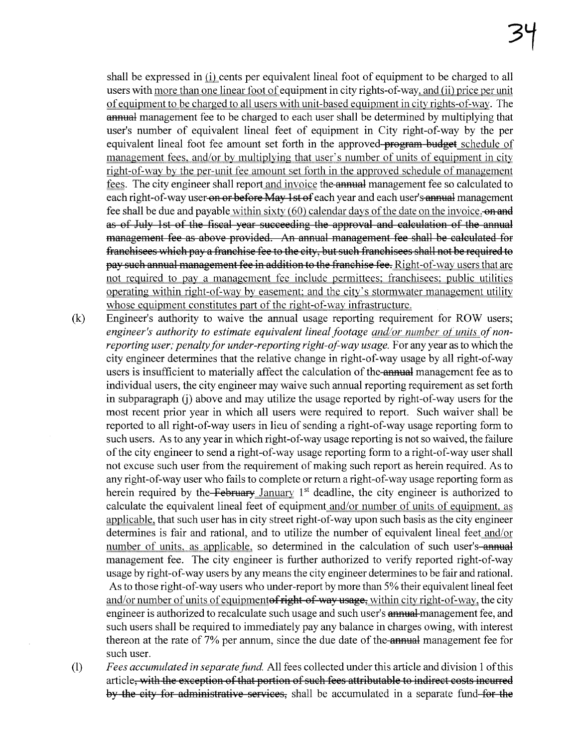shall be expressed in (i) cents per equivalent lineal foot of equipment to be charged to all users with more than one linear foot of equipment in city rights-of-way, and (ii) price per unit of equipment to be charged to all users with unit-based equipment in city rights-of-way. The **annual** management fee to be charged to each user shall be determined by multiplying that user's number of equivalent lineal feet of equipment in City right-of-way by the per equivalent lineal foot fee amount set forth in the approved-program budget schedule of management fees. and/or by multiplying that user's number of units of equipment in city right-of-way by the per-unit fee amount set forth in the approved schedule of management fees. The city engineer shall report and invoice the **annual** management fee so calculated to each right-of-way user on or before May 1st of each year and each user's annual management fee shall be due and payable within sixty  $(60)$  calendar days of the date on the invoice.  $\theta$ as of July 1st of the fiscal year succeeding the approval and calculation of the anual management fee as above provided. An annual management fee shall be calculated for franchisees which pay a franchise fee to the city, but such franchisees shall not be required to pay such annual management fee in addition to the franchise fee. Right-of-way users that are not required to pay a management fee include permittees; franchisees; public utilities operating within right-of-way by easement; and the city's stormwater management utility whose equipment constitutes part of the right-of-way infrastructure.

- (k) Engineer's authority to waive the anual usage reporting requirement for ROW users; engineer's authority to estimate equivalent lineal footage and/or number of units of nonreporting user; penalty for under-reporting right-of-way usage. For any year as to which the city engineer determines that the relative change in right-of-way usage by all right-of-way users is insufficient to materially affect the calculation of the annual management fee as to individual users, the city engineer may waive such anual reporting requirement as set forth in subparagraph (i) above and may utilize the usage reported by right-of-way users for the most recent prior year in which all users were required to report. Such waiver shall be reported to all right-of-way users in lieu of sending a right-of-way usage reporting form to such users. As to any year in which right-of-way usage reporting is not so waived, the failure ofthe city engineer to send a right-of-way usage reporting form to a right-of-way user shall not excuse such user from the requirement of making such report as herein required. As to any right-of-way user who fails to complete or return a right-of-way usage reporting form as herein required by the February January  $1<sup>st</sup>$  deadline, the city engineer is authorized to calculate the equivalent lineal feet of equipment and/or number of units of equipment, as applicable, that such user has in city street right-of-way upon such basis as the city engineer determines is fair and rational, and to utilize the number of equivalent lineal feet and/or number of units, as applicable, so determined in the calculation of such user's annual management fee. The city engineer is further authorized to verify reported right-of-way usage by right-of-way users by any means the city engineer determines to be fair and rationaL. As to those right-of-way users who under-report by more than 5% their equivalent lineal feet and/or number of units of equipmentof right-of-way usage, within city right-of-way, the city engineer is authorized to recalculate such usage and such user's **annual** management fee, and such users shall be required to immediately pay any balance in charges owing, with interest thereon at the rate of 7% per annum, since the due date of the annual management fee for such user.
- (1) Fees accumulated in separate fund. All fees collected under this article and division 1 ofthis article, with the exception of that portion of such fees attributable to indirect costs incured by the city for administrative services, shall be accumulated in a separate fund for the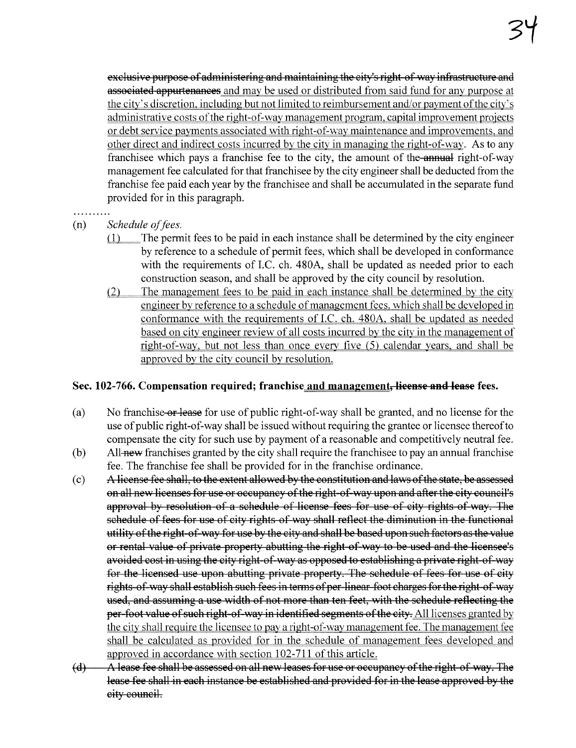exclusive purpose of administering and maintaining the city's right-of-way infrastructure and **associated appurtenances** and may be used or distributed from said fund for any purpose at the city's discretion, including but not limited to reimbursement and/or payment of the city's administrative costs of the right-of-way management program, capital improvement projects or debt service payments associated with right-of-way maintenance and improvements, and other direct and indirect costs incurred by the city in managing the right-of-way. As to any franchisee which pays a franchise fee to the city, the amount of the annual right-of-way management fee calculated for that franchisee by the city engineer shall be deducted from the franchise fee paid each year by the franchisee and shall be accumulated in the separate fund provided for in this paragraph.

- 
- (n) Schedule of fees.
	- $(1)$  The permit fees to be paid in each instance shall be determined by the city engineer by reference to a schedule of permit fees, which shall be developed in conformance with the requirements of I.C. ch. 480A, shall be updated as needed prior to each construction season, and shall be approved by the city council by resolution.
	- $(2)$  The management fees to be paid in each instance shall be determined by the city engineer by reference to a schedule of management fees, which shall be developed in conformance with the requirements of I.C. ch. 480A, shall be updated as needed based on city engineer review of all costs incurred bv the city in the management of right-of-way, but not less than once every five (5) calendar years, and shall be approved by the city council by resolution.

## Sec. 102-766. Compensation required; franchise and management, lieense and lease fees.

- (a) No franchise or lease for use of public right-of-way shall be granted, and no license for the use of public right-of-way shall be issued without requiring the grantee or licensee thereofto compensate the city for such use by payment of a reasonable and competitively neutral fee.
- $(b)$  All-**new** franchises granted by the city shall require the franchisee to pay an annual franchise fee. The franchise fee shall be provided for in the franchise ordinance.
- (c) A. license fee shall, to the extent allowed by the constitution and laws of the state, be assessed on all new licenses for use or occupancy of the right-of-way upon and after the city council's approval by resolution of a schedule of license fees for use of city rights of way. The schedule of fees for use of city rights of way shall reflect the diminution in the functional utility of the right of way for use by the city and shall be based upon such factors as the value or rental value of private property abutting the right of way to be used and the licensee's avoided cost in using the city right-of-way as opposed to establishing a private right-of-way for the licensed use upon abutting private property. The schedule of fees for use of city rights-of-way shall establish such fees in terms of per-linear-foot charges for the right-of-way used, and assuming a use width of not more than ten feet, with the schedule reflecting the per-foot value of such right-of-way in identified segments of the city. All licenses granted by the city shall require the licensee to pay a right-of-way management fee. The management fee shall be calculated as provided for in the schedule of management fees developed and approved in accordance with section 102-711 of this article.
- $(d)$   $\cdots$  A lease fee shall be assessed on all new leases for use or occupancy of the right of way. The lease fee shall in each instance be established and provided for in the lease approved by the city counciL.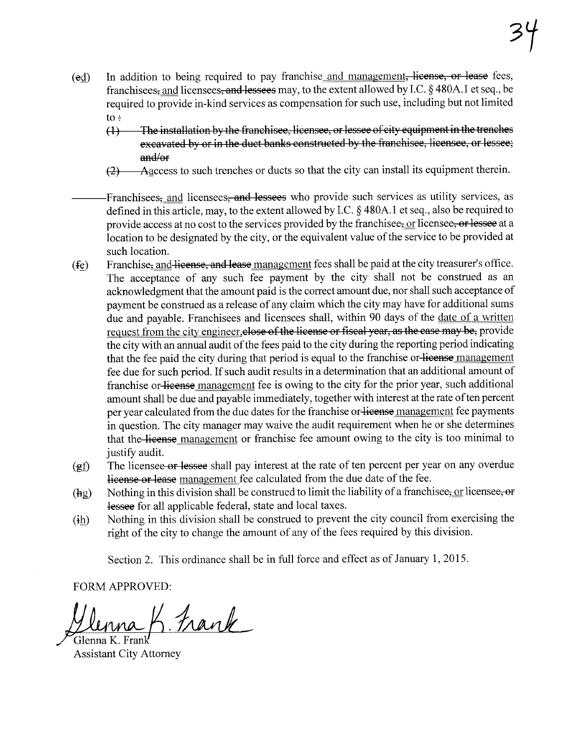- (ed) In addition to being required to pay franchise and management, license, or lease fees, franchisees, and licensees, and lessees may, to the extent allowed by I.C. § 480A.l et seq., be required to provide in-kind services as compensation for such use, including but not limited  $to \div$ 
	- (1) The installation by the franchisee, licensee, or lessee of city equipment in the trenches excavated by or in the duct banks constructed by the franchisee, licensee, or lessee; and/or
	- (2) "A..flccess to such trenches or ducts so that the city can install its equipment therein.
- Franchisees, and licensees, and lessees who provide such services as utility services, as defined in this article, may, to the extent allowed by I.C. § 480A.l et seq., also be required to provide access at no cost to the services provided by the franchisee, or licensee, or lessee at a location to be designated by the city, or the equivalent value of the service to be provided at such location.
- $(f<sub>e</sub>)$  Franchise, and license, and lease management fees shall be paid at the city treasurer's office. The acceptance of any such fee payment by the city shall not be construed as an acknowledgment that the amount paid is the correct amount due, nor shall such acceptance of payment be construed as a release of any claim which the city may have for additional sums due and payable. Franchisees and licensees shall, within 90 days of the date of a written request from the city engineer, close of the license or fiscal year, as the case may be, provide the city with an annual audit of the fees paid to the city during the reporting period indicating that the fee paid the city during that period is equal to the franchise or license management fee due for such period. If such audit results in a determination that an additional amount of franchise or license management fee is owing to the city for the prior year, such additional amount shall be due and payable immediately, together with interest at the rate of ten percent per year calculated from the due dates for the franchise or license management fee payments in question. The city manager may waive the audit requirement when he or she determines that the license management or franchise fee amount owing to the city is too minimal to justify audit.
- $(gf)$  The licensee or lessee shall pay interest at the rate of ten percent per year on any overdue license or lease management fee calculated from the due date of the fee.
- (hg) Nothing in this division shall be construed to limit the liability of a franchise  $\epsilon_5$  or licensee, or lessee for all applicable federal, state and local taxes.
- $(ih)$  Nothing in this division shall be construed to prevent the city council from exercising the right of the city to change the amount of any of the fees required by this division.

Section 2. This ordinance shall be in full force and effect as of January  $1,2015$ .

FORM APPROVED:

Ilenna K. Frank

Assistant City Attorney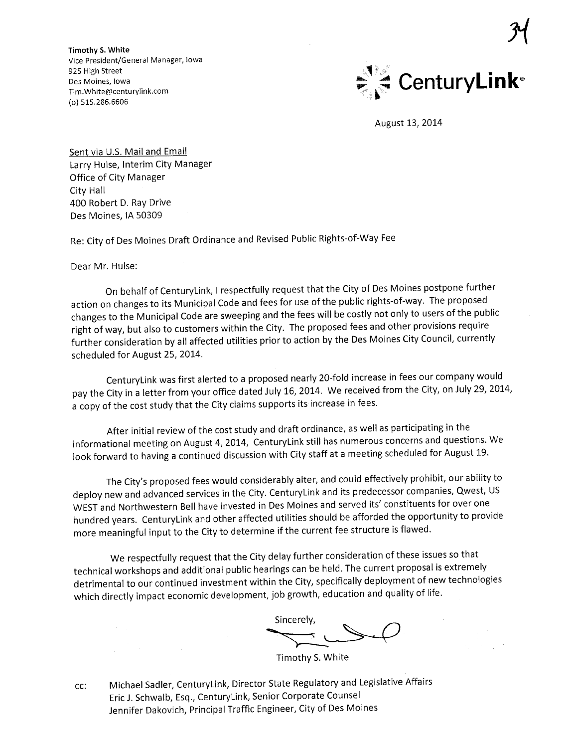Timothy S. White Vice President/General Manager, Iowa 925 High Street Des Moines, Iowa Tim. White@centurylink.com (0) 515.286.6606



 $\mathcal{Y}$ 

August 13, 2014

Sent via U.S. Mail and Email Larry Hulse, Interim City Manager Office of City Manager City Hall 400 Robert D. Ray Drive Des Moines, IA 50309

Re: City of Des Moines Draft Ordinance and Revised Public Rights-of-Way Fee

Dear Mr. Hulse:

On behalf of CenturyLink, I respectfully request that the City of Des Moines postpone further action on changes to its Municipal Code and fees for use of the public rights-of-way. The proposed changes to the Municipal Code are sweeping and the fees will be costly not only to users of the public right of way, but also to customers within the City. The proposed fees and other provisions require further consideration by all affected utilities prior to action by the Des Moines City Council, currently scheduled for August 25, 2014.

CenturyLink was first alerted to a proposed nearly 20-fold increase in fees our company would pay the City in a letter from your office dated July 16, 2014. We received from the City, on July 29, 2014, a copy of the cost study that the City claims supports its increase in fees.

After initial review of the cost study and draft ordinance, as well as participating in the informational meeting on August 4,2014, CenturyLink still has numerous concerns and questions. We look forward to having a continued discussion with City staff at a meeting scheduled for August 19.

The City's proposed fees would considerably alter, and could effectively prohibit, our ability to deploy new and advanced services in the City. CenturyLink and its predecessor companies, Qwest, US WEST and Northwestern Bell have invested in Des Moines and served its' constituents for over one hundred years. CenturyLink and other affected utilities should be afforded the opportunity to provide more meaningful input to the City to determine if the current fee structure is flawed.

We respectfully request that the City delay further consideration of these issues so that technical workshops and additional public hearings can be held. The current proposal is extremely detrimental to our continued investment within the City, specifically deployment of new technologies which directly impact economic development, job growth, education and quality of life.

Sincerely, with, education of the street of the street of the Timothy S. White

cc: Michael Sadler, CenturyLink, Director State Regulatory and Legislative Affairs Eric J. Schwalb, Esq., CenturyLink, Senior Corporate Counsel Jennifer Dakovich, Principal Traffic Engineer, City of Des Moines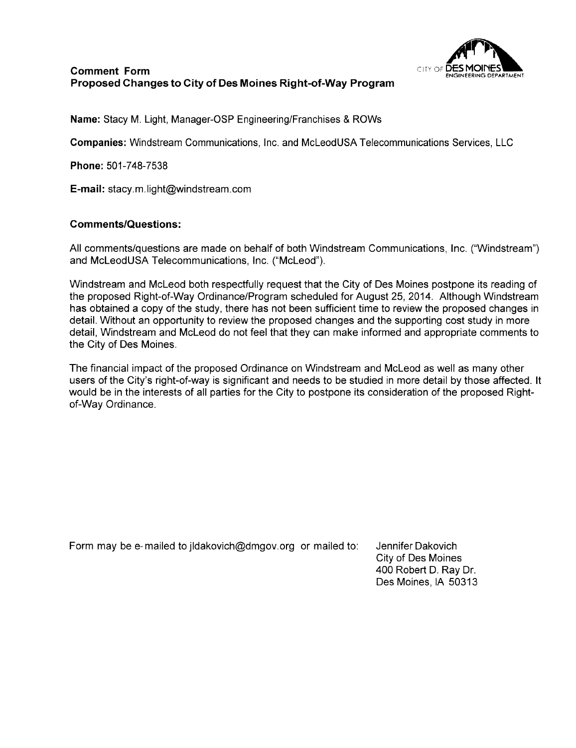

### Comment Form Proposed Changes to City of Des Moines Right-of-Way Program

Name: Stacy M. Light, Manager-OSP Engineering/Franchises & ROWs

Companies: Windstream Communications, Inc. and McLeod USA Telecommunications Services, LLC

Phone: 501-748-7538

E-mail: stacy.m.light@windstream.com

#### Comments/Questions:

All comments/questions are made on behalf of both Windstream Communications, Inc. ("Windstream") and McLeodUSA Telecommunications, Inc. ("McLeod").

Windstream and McLeod both respectfully request that the City of Des Moines postpone its reading of the proposed Right-of-Way Ordinance/Program scheduled for August 25,2014. Although Windstream has obtained a copy of the study, there has not been sufficient time to review the proposed changes in detaiL. Without an opportunity to review the proposed changes and the supporting cost study in more detail, Windstream and McLeod do not feel that they can make informed and appropriate comments to the City of Des Moines.

The financial impact of the proposed Ordinance on Windstream and McLeod as well as many other users of the City's right-of-way is significant and needs to be studied in more detail by those affected. It would be in the interests of all parties for the City to postpone its consideration of the proposed Rightof-Way Ordinance.

Form may be e-mailed to jldakovich@dmgov.org or mailed to: Jennifer Dakovich

City of Des Moines 400 Robert D. Ray Dr. Des Moines, IA 50313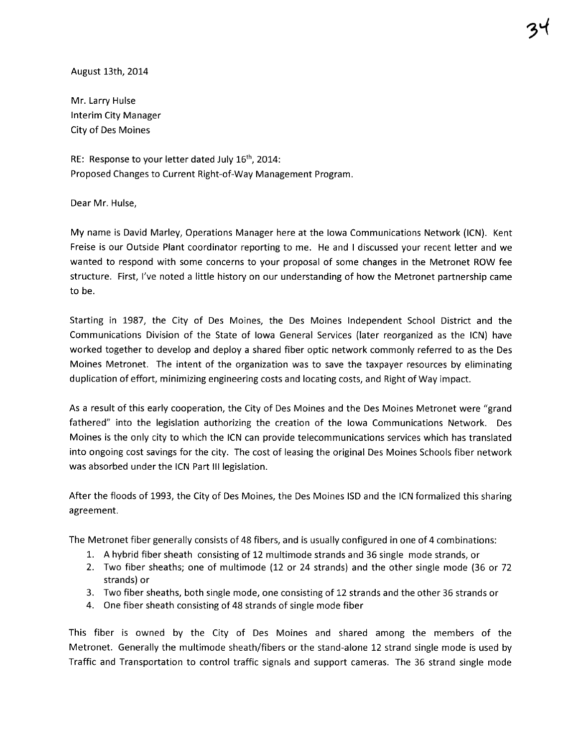August 13th, 2014

Mr. Larry Hulse Interim City Manager City of Des Moines

RE: Response to your letter dated July 16<sup>th</sup>, 2014: Proposed Changes to Current Right-of-Way Management Program.

Dear Mr. Hulse,

My name is David Marley, Operations Manager here at the Iowa Communications Network (ICN). Kent Freise is our Outside Plant coordinator reporting to me. He and I discussed your recent letter and we wanted to respond with some concerns to your proposal of some changes in the Metronet ROW fee structure. First, I've noted a little history on our understanding of how the Metronet partnership came to be.

Starting in 1987, the City of Des Moines, the Des Moines Independent School District and the Communications Division of the State of Iowa General Services (later reorganized as the ICN) have worked together to develop and deploy a shared fiber optic network commonly referred to as the Des Moines Metronet. The intent of the organization was to save the taxpayer resources by eliminating duplication of effort, minimizing engineering costs and locating costs, and Right of Way impact.

As a result of this early cooperation, the City of Des Moines and the Des Moines Metronet were "grand fathered" into the legislation authorizing the creation of the Iowa Communications Network. Des Moines is the only city to which the ICN can provide telecommunications services which has translated into ongoing cost savings for the city. The cost of leasing the original Des Moines Schools fiber network was absorbed under the ICN Part III legislation.

After the floods of 1993, the City of Des Moines, the Des Moines ISO and the ICN formalized this sharing agreement.

The Metronet fiber generally consists of 48 fibers, and is usually configured in one of 4 combinations:

- 1. A hybrid fiber sheath consisting of 12 multimode strands and 36 single mode strands, or
- 2. Two fiber sheaths; one of multimode (12 or 24 strands) and the other single mode (36 or 72 strands) or
- 3. Two fiber sheaths, both single mode, one consisting of 12 strands and the other 36 strands or
- 4. One fiber sheath consisting of 48 strands of single mode fiber

This fiber is owned by the City of Des Moines and shared among the members of the Metronet. Generally the multimode sheath/fibers or the stand-alone 12 strand single mode is used by Traffic and Transportation to control traffic signals and support cameras. The 36 strand single mode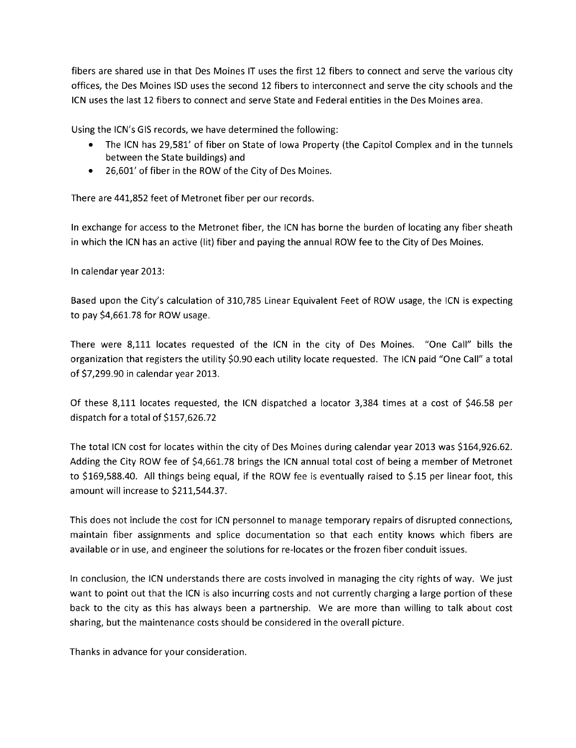fibers are shared use in that Des Moines IT uses the first 12 fibers to connect and serve the various city offices, the Des Moines ISD uses the second 12 fibers to interconnect and serve the city schools and the ICN uses the last 12 fibers to connect and serve State and Federal entities in the Des Moines area.

Using the ICN's GIS records, we have determined the following:

- . The ICN has 29,581' of fiber on State of Iowa Property (the Capitol Complex and in the tunnels between the State buildings) and
- . 26,601' of fiber in the ROW of the City of Des Moines.

There are 441,852 feet of Metronet fiber per our records.

In exchange for access to the Metronet fiber, the ICN has borne the burden of locating any fiber sheath in which the ICN has an active (lit) fiber and paying the annual ROW fee to the City of Des Moines.

In calendar year 2013:

Based upon the City's calculation of 310,785 Linear Equivalent Feet of ROW usage, the ICN is expecting to pay \$4,661.78 for ROW usage.

There were 8,111 locates requested of the ICN in the city of Des Moines. "One Call" bills the organization that registers the utility \$0.90 each utility locate requested. The ICN paid "One Call" a total of \$7,299.90 in calendar year 2013.

Of these 8,111 locates requested, the ICN dispatched a locator 3,384 times at a cost of \$46.58 per dispatch for a total of \$157,626.72

The total ICN cost for locates within the city of Des Moines during calendar year 2013 was \$164,926.62. Adding the City ROW fee of \$4,661.78 brings the ICN annual total cost of being a member of Metronet to \$169,588.40. All things being equal, if the ROW fee is eventually raised to \$.15 per linear foot, this amount will increase to \$211,544.37.

This does not include the cost for ICN personnel to manage temporary repairs of disrupted connections, maintain fiber assignments and splice documentation so that each entity knows which fibers are available or in use, and engineer the solutions for re-Iocates or the frozen fiber conduit issues.

In conclusion, the ICN understands there are costs involved in managing the city rights of way. We just want to point out that the ICN is also incurring costs and not currently charging a large portion of these back to the city as this has always been a partnership. We are more than willing to talk about cost sharing, but the maintenance costs should be considered in the overall picture.

Thanks in advance for your consideration.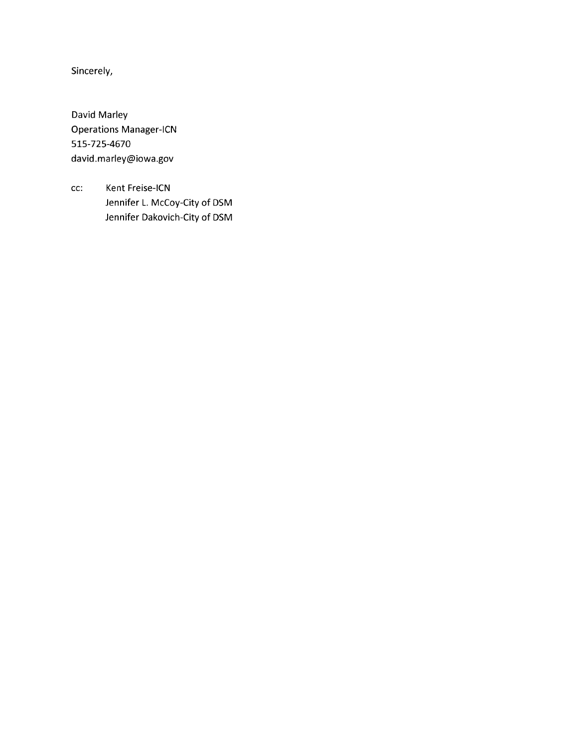Sincerely,

David Marley Operations Manager-ICN 515-725-4670 david.marley@iowa.gov

cc: Kent Freise-ICN Jennifer L. McCoy-City of DSM Jennifer Dakovich-City of DSM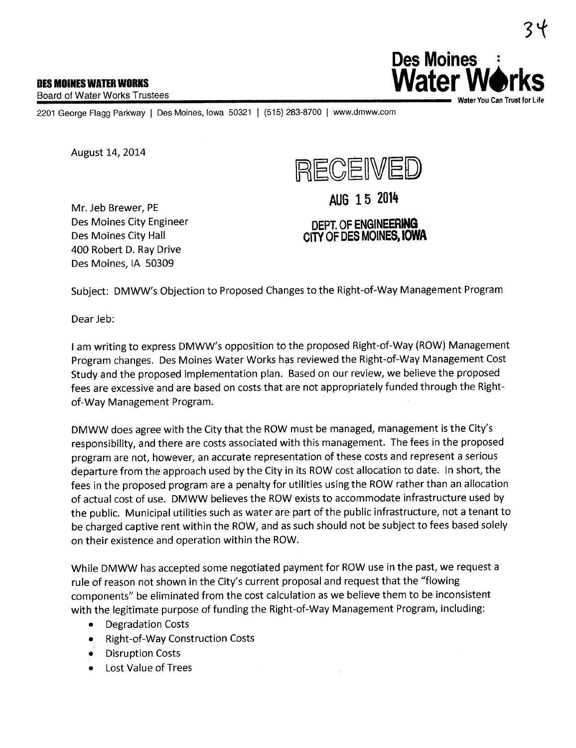Board of Water Works Trustees



2201 George Flagg Parkway | Des Moines, Iowa 50321 | (515) 283-8700 | www.dmww.com

August 14, 2014

400 Robert D. Ray Drive Des Moines, IA 50309



Mr. Jeb Brewer, PE Des Moines City Engineer Des Moines City Hall





Subject: DMWW's Objection to Proposed Changes to the Right-of-Way Management Program

Dear Jeb:

I am writing to express DMWW's opposition to the proposed Right-of-Way (ROW) Management Program changes. Des Moines Water Works has reviewed the Right-of-Way Management Cost Study and the proposed implementation plan. Based on our review, we believe the proposed fees are excessive and are based on costs that are not appropriately funded through the Rightof-Way Management Program.

DMWW does agree with the City that the ROW must be managed, management is the City's responsibilty, and there are costs associated with this management. The fees in the proposed program are not, however, an accurate representation of these costs and represent a serious departure from the approach used by the City in its ROW cost allocation to date. In short, the fees in the proposed program are a penalty for utilities using the ROW rather than an allocation of actual cost of use. DMWW believes the ROW exists to accommodate infrastructure used by the public. Municipal utilities such as water are part of the public infrastructure, not a tenant to be charged captive rent within the ROW, and as such should not be subject to fees based solely on their existence and operation within the ROW.

While DMWW has accepted some negotiated payment for ROW use in the past, we request a rule of reason not shown in the City's current proposal and request that the "flowing components" be eliminated from the cost calculation as we believe them to be inconsistent with the legitimate purpose of funding the Right-of-Way Management Program, including:

- . Degradation Costs
- . Right-of-Way Construction Costs
- . Disruption Costs
- . Lost Value of Trees